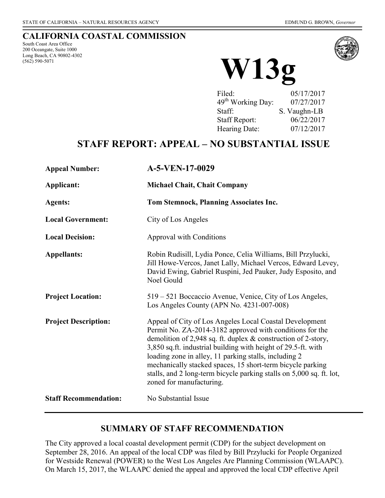#### **CALIFORNIA COASTAL COMMISSION**

South Coast Area Office 200 Oceangate, Suite 1000 Long Beach, CA 90802-4302<br>(562) 590-5071



(562) 590-5071 **W13g**

Filed: 05/17/2017 49th Working Day: 07/27/2017 Staff: S. Vaughn-LB Staff Report: 06/22/2017 Hearing Date: 07/12/2017

# **STAFF REPORT: APPEAL – NO SUBSTANTIAL ISSUE**

| <b>Appeal Number:</b>        | A-5-VEN-17-0029                                                                                                                                                                                                                                                                                                                                                                                                                                                                     |
|------------------------------|-------------------------------------------------------------------------------------------------------------------------------------------------------------------------------------------------------------------------------------------------------------------------------------------------------------------------------------------------------------------------------------------------------------------------------------------------------------------------------------|
| Applicant:                   | <b>Michael Chait, Chait Company</b>                                                                                                                                                                                                                                                                                                                                                                                                                                                 |
| <b>Agents:</b>               | Tom Stemnock, Planning Associates Inc.                                                                                                                                                                                                                                                                                                                                                                                                                                              |
| <b>Local Government:</b>     | City of Los Angeles                                                                                                                                                                                                                                                                                                                                                                                                                                                                 |
| <b>Local Decision:</b>       | Approval with Conditions                                                                                                                                                                                                                                                                                                                                                                                                                                                            |
| <b>Appellants:</b>           | Robin Rudisill, Lydia Ponce, Celia Williams, Bill Przylucki,<br>Jill Howe-Vercos, Janet Lally, Michael Vercos, Edward Levey,<br>David Ewing, Gabriel Ruspini, Jed Pauker, Judy Esposito, and<br>Noel Gould                                                                                                                                                                                                                                                                          |
| <b>Project Location:</b>     | 519 – 521 Boccaccio Avenue, Venice, City of Los Angeles,<br>Los Angeles County (APN No. 4231-007-008)                                                                                                                                                                                                                                                                                                                                                                               |
| <b>Project Description:</b>  | Appeal of City of Los Angeles Local Coastal Development<br>Permit No. ZA-2014-3182 approved with conditions for the<br>demolition of 2,948 sq. ft. duplex $\&$ construction of 2-story,<br>3,850 sq.ft. industrial building with height of 29.5-ft. with<br>loading zone in alley, 11 parking stalls, including 2<br>mechanically stacked spaces, 15 short-term bicycle parking<br>stalls, and 2 long-term bicycle parking stalls on 5,000 sq. ft. lot,<br>zoned for manufacturing. |
| <b>Staff Recommendation:</b> | No Substantial Issue                                                                                                                                                                                                                                                                                                                                                                                                                                                                |

### **SUMMARY OF STAFF RECOMMENDATION**

The City approved a local coastal development permit (CDP) for the subject development on September 28, 2016. An appeal of the local CDP was filed by Bill Przylucki for People Organized for Westside Renewal (POWER) to the West Los Angeles Are Planning Commission (WLAAPC). On March 15, 2017, the WLAAPC denied the appeal and approved the local CDP effective April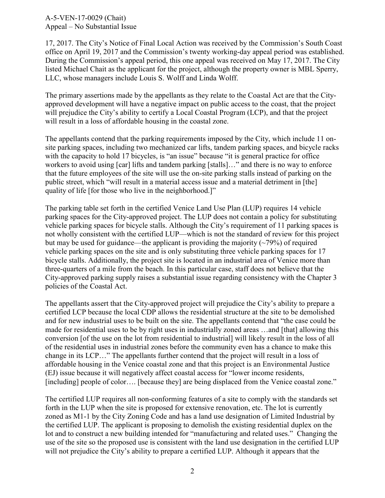17, 2017. The City's Notice of Final Local Action was received by the Commission's South Coast office on April 19, 2017 and the Commission's twenty working-day appeal period was established. During the Commission's appeal period, this one appeal was received on May 17, 2017. The City listed Michael Chait as the applicant for the project, although the property owner is MBL Sperry, LLC, whose managers include Louis S. Wolff and Linda Wolff.

The primary assertions made by the appellants as they relate to the Coastal Act are that the Cityapproved development will have a negative impact on public access to the coast, that the project will prejudice the City's ability to certify a Local Coastal Program (LCP), and that the project will result in a loss of affordable housing in the coastal zone.

The appellants contend that the parking requirements imposed by the City, which include 11 onsite parking spaces, including two mechanized car lifts, tandem parking spaces, and bicycle racks with the capacity to hold 17 bicycles, is "an issue" because "it is general practice for office workers to avoid using [car] lifts and tandem parking [stalls]..." and there is no way to enforce that the future employees of the site will use the on-site parking stalls instead of parking on the public street, which "will result in a material access issue and a material detriment in [the] quality of life [for those who live in the neighborhood.]"

The parking table set forth in the certified Venice Land Use Plan (LUP) requires 14 vehicle parking spaces for the City-approved project. The LUP does not contain a policy for substituting vehicle parking spaces for bicycle stalls. Although the City's requirement of 11 parking spaces is not wholly consistent with the certified LUP—which is not the standard of review for this project but may be used for guidance—the applicant is providing the majority  $(\sim 79\%)$  of required vehicle parking spaces on the site and is only substituting three vehicle parking spaces for 17 bicycle stalls. Additionally, the project site is located in an industrial area of Venice more than three-quarters of a mile from the beach. In this particular case, staff does not believe that the City-approved parking supply raises a substantial issue regarding consistency with the Chapter 3 policies of the Coastal Act.

The appellants assert that the City-approved project will prejudice the City's ability to prepare a certified LCP because the local CDP allows the residential structure at the site to be demolished and for new industrial uses to be built on the site. The appellants contend that "the case could be made for residential uses to be by right uses in industrially zoned areas …and [that] allowing this conversion [of the use on the lot from residential to industrial] will likely result in the loss of all of the residential uses in industrial zones before the community even has a chance to make this change in its LCP…" The appellants further contend that the project will result in a loss of affordable housing in the Venice coastal zone and that this project is an Environmental Justice (EJ) issue because it will negatively affect coastal access for "lower income residents, [including] people of color.... [because they] are being displaced from the Venice coastal zone."

The certified LUP requires all non-conforming features of a site to comply with the standards set forth in the LUP when the site is proposed for extensive renovation, etc. The lot is currently zoned as M1-1 by the City Zoning Code and has a land use designation of Limited Industrial by the certified LUP. The applicant is proposing to demolish the existing residential duplex on the lot and to construct a new building intended for "manufacturing and related uses." Changing the use of the site so the proposed use is consistent with the land use designation in the certified LUP will not prejudice the City's ability to prepare a certified LUP. Although it appears that the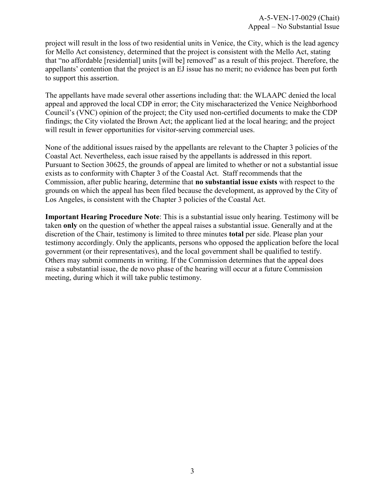project will result in the loss of two residential units in Venice, the City, which is the lead agency for Mello Act consistency, determined that the project is consistent with the Mello Act, stating that "no affordable [residential] units [will be] removed" as a result of this project. Therefore, the appellants' contention that the project is an EJ issue has no merit; no evidence has been put forth to support this assertion.

The appellants have made several other assertions including that: the WLAAPC denied the local appeal and approved the local CDP in error; the City mischaracterized the Venice Neighborhood Council's (VNC) opinion of the project; the City used non-certified documents to make the CDP findings; the City violated the Brown Act; the applicant lied at the local hearing; and the project will result in fewer opportunities for visitor-serving commercial uses.

None of the additional issues raised by the appellants are relevant to the Chapter 3 policies of the Coastal Act. Nevertheless, each issue raised by the appellants is addressed in this report. Pursuant to Section 30625, the grounds of appeal are limited to whether or not a substantial issue exists as to conformity with Chapter 3 of the Coastal Act. Staff recommends that the Commission, after public hearing, determine that **no substantial issue exists** with respect to the grounds on which the appeal has been filed because the development, as approved by the City of Los Angeles, is consistent with the Chapter 3 policies of the Coastal Act.

**Important Hearing Procedure Note**: This is a substantial issue only hearing. Testimony will be taken **only** on the question of whether the appeal raises a substantial issue. Generally and at the discretion of the Chair, testimony is limited to three minutes **total** per side. Please plan your testimony accordingly. Only the applicants, persons who opposed the application before the local government (or their representatives), and the local government shall be qualified to testify. Others may submit comments in writing. If the Commission determines that the appeal does raise a substantial issue, the de novo phase of the hearing will occur at a future Commission meeting, during which it will take public testimony.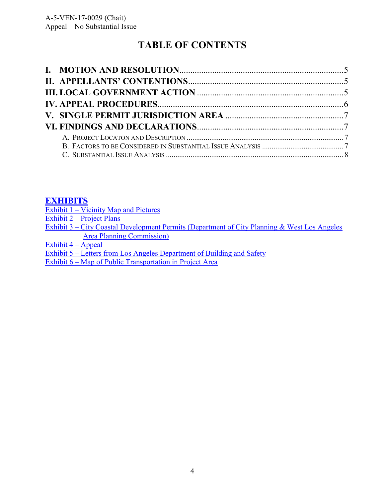# **TABLE OF CONTENTS**

## **[EXHIBITS](https://documents.coastal.ca.gov/reports/2017/7/W13g/W13g-7-2017-report.pdf)**

| Exhibit $1 -$ Vicinity Map and Pictures                                                      |
|----------------------------------------------------------------------------------------------|
| Exhibit $2$ – Project Plans                                                                  |
| Exhibit 3 – City Coastal Development Permits (Department of City Planning & West Los Angeles |
| <b>Area Planning Commission</b> )                                                            |
| Exhibit $4 -$ Appeal                                                                         |
| Exhibit 5 – Letters from Los Angeles Department of Building and Safety                       |
|                                                                                              |

Exhibit 6 – [Map of Public Transportation in Project Area](https://documents.coastal.ca.gov/reports/2017/7/W13g/W13g-7-2017-report.pdf)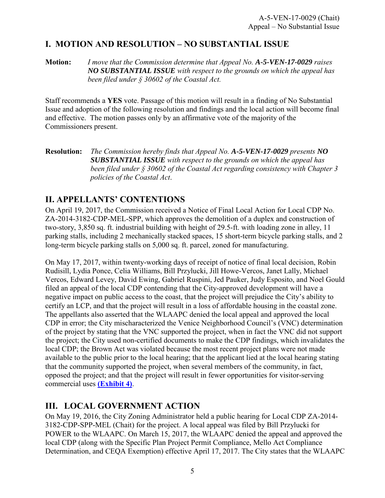## <span id="page-4-0"></span>**I. MOTION AND RESOLUTION – NO SUBSTANTIAL ISSUE**

**Motion:** *I move that the Commission determine that Appeal No. A-5-VEN-17-0029 raises NO SUBSTANTIAL ISSUE with respect to the grounds on which the appeal has been filed under § 30602 of the Coastal Act.*

Staff recommends a **YES** vote. Passage of this motion will result in a finding of No Substantial Issue and adoption of the following resolution and findings and the local action will become final and effective. The motion passes only by an affirmative vote of the majority of the Commissioners present.

#### **Resolution:** *The Commission hereby finds that Appeal No. A-5-VEN-17-0029 presents NO SUBSTANTIAL ISSUE with respect to the grounds on which the appeal has been filed under § 30602 of the Coastal Act regarding consistency with Chapter 3 policies of the Coastal Act*.

### **II. APPELLANTS' CONTENTIONS**

On April 19, 2017, the Commission received a Notice of Final Local Action for Local CDP No. ZA-2014-3182-CDP-MEL-SPP, which approves the demolition of a duplex and construction of two-story, 3,850 sq. ft. industrial building with height of 29.5-ft. with loading zone in alley, 11 parking stalls, including 2 mechanically stacked spaces, 15 short-term bicycle parking stalls, and 2 long-term bicycle parking stalls on 5,000 sq. ft. parcel, zoned for manufacturing.

On May 17, 2017, within twenty-working days of receipt of notice of final local decision, Robin Rudisill, Lydia Ponce, Celia Williams, Bill Przylucki, Jill Howe-Vercos, Janet Lally, Michael Vercos, Edward Levey, David Ewing, Gabriel Ruspini, Jed Pauker, Judy Esposito, and Noel Gould filed an appeal of the local CDP contending that the City-approved development will have a negative impact on public access to the coast, that the project will prejudice the City's ability to certify an LCP, and that the project will result in a loss of affordable housing in the coastal zone. The appellants also asserted that the WLAAPC denied the local appeal and approved the local CDP in error; the City mischaracterized the Venice Neighborhood Council's (VNC) determination of the project by stating that the VNC supported the project, when in fact the VNC did not support the project; the City used non-certified documents to make the CDP findings, which invalidates the local CDP; the Brown Act was violated because the most recent project plans were not made available to the public prior to the local hearing; that the applicant lied at the local hearing stating that the community supported the project, when several members of the community, in fact, opposed the project; and that the project will result in fewer opportunities for visitor-serving commercial uses **[\(Exhibit 4\)](https://documents.coastal.ca.gov/reports/2017/7/W13g/W13g-7-2017-report.pdf)**.

## **III. LOCAL GOVERNMENT ACTION**

On May 19, 2016, the City Zoning Administrator held a public hearing for Local CDP ZA-2014- 3182-CDP-SPP-MEL (Chait) for the project. A local appeal was filed by Bill Przylucki for POWER to the WLAAPC. On March 15, 2017, the WLAAPC denied the appeal and approved the local CDP (along with the Specific Plan Project Permit Compliance, Mello Act Compliance Determination, and CEQA Exemption) effective April 17, 2017. The City states that the WLAAPC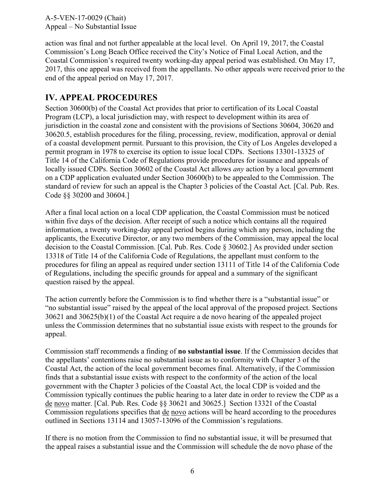<span id="page-5-0"></span>action was final and not further appealable at the local level. On April 19, 2017, the Coastal Commission's Long Beach Office received the City's Notice of Final Local Action, and the Coastal Commission's required twenty working-day appeal period was established. On May 17, 2017, this one appeal was received from the appellants. No other appeals were received prior to the end of the appeal period on May 17, 2017.

### **IV. APPEAL PROCEDURES**

Section 30600(b) of the Coastal Act provides that prior to certification of its Local Coastal Program (LCP), a local jurisdiction may, with respect to development within its area of jurisdiction in the coastal zone and consistent with the provisions of Sections 30604, 30620 and 30620.5, establish procedures for the filing, processing, review, modification, approval or denial of a coastal development permit. Pursuant to this provision, the City of Los Angeles developed a permit program in 1978 to exercise its option to issue local CDPs. Sections 13301-13325 of Title 14 of the California Code of Regulations provide procedures for issuance and appeals of locally issued CDPs. Section 30602 of the Coastal Act allows *any* action by a local government on a CDP application evaluated under Section 30600(b) to be appealed to the Commission. The standard of review for such an appeal is the Chapter 3 policies of the Coastal Act. [Cal. Pub. Res. Code §§ 30200 and 30604.]

After a final local action on a local CDP application, the Coastal Commission must be noticed within five days of the decision. After receipt of such a notice which contains all the required information, a twenty working-day appeal period begins during which any person, including the applicants, the Executive Director, or any two members of the Commission, may appeal the local decision to the Coastal Commission. [Cal. Pub. Res. Code § 30602.] As provided under section 13318 of Title 14 of the California Code of Regulations, the appellant must conform to the procedures for filing an appeal as required under section 13111 of Title 14 of the California Code of Regulations, including the specific grounds for appeal and a summary of the significant question raised by the appeal.

The action currently before the Commission is to find whether there is a "substantial issue" or "no substantial issue" raised by the appeal of the local approval of the proposed project. Sections 30621 and 30625(b)(1) of the Coastal Act require a de novo hearing of the appealed project unless the Commission determines that no substantial issue exists with respect to the grounds for appeal.

Commission staff recommends a finding of **no substantial issue**. If the Commission decides that the appellants' contentions raise no substantial issue as to conformity with Chapter 3 of the Coastal Act, the action of the local government becomes final. Alternatively, if the Commission finds that a substantial issue exists with respect to the conformity of the action of the local government with the Chapter 3 policies of the Coastal Act, the local CDP is voided and the Commission typically continues the public hearing to a later date in order to review the CDP as a de novo matter. [Cal. Pub. Res. Code §§ 30621 and 30625.] Section 13321 of the Coastal Commission regulations specifies that de novo actions will be heard according to the procedures outlined in Sections 13114 and 13057-13096 of the Commission's regulations.

If there is no motion from the Commission to find no substantial issue, it will be presumed that the appeal raises a substantial issue and the Commission will schedule the de novo phase of the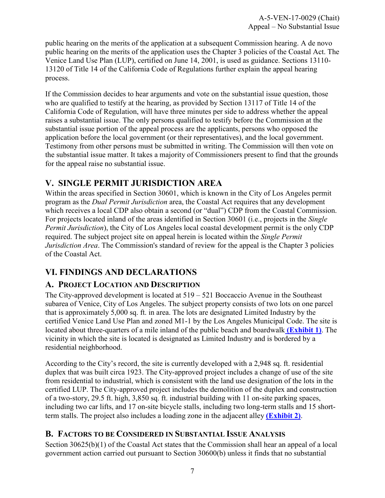<span id="page-6-0"></span>public hearing on the merits of the application at a subsequent Commission hearing. A de novo public hearing on the merits of the application uses the Chapter 3 policies of the Coastal Act. The Venice Land Use Plan (LUP), certified on June 14, 2001, is used as guidance. Sections 13110- 13120 of Title 14 of the California Code of Regulations further explain the appeal hearing process.

If the Commission decides to hear arguments and vote on the substantial issue question, those who are qualified to testify at the hearing, as provided by Section 13117 of Title 14 of the California Code of Regulation, will have three minutes per side to address whether the appeal raises a substantial issue. The only persons qualified to testify before the Commission at the substantial issue portion of the appeal process are the applicants, persons who opposed the application before the local government (or their representatives), and the local government. Testimony from other persons must be submitted in writing. The Commission will then vote on the substantial issue matter. It takes a majority of Commissioners present to find that the grounds for the appeal raise no substantial issue.

## **V. SINGLE PERMIT JURISDICTION AREA**

Within the areas specified in Section 30601, which is known in the City of Los Angeles permit program as the *Dual Permit Jurisdiction* area, the Coastal Act requires that any development which receives a local CDP also obtain a second (or "dual") CDP from the Coastal Commission. For projects located inland of the areas identified in Section 30601 (i.e., projects in the *Single Permit Jurisdiction*), the City of Los Angeles local coastal development permit is the only CDP required. The subject project site on appeal herein is located within the *Single Permit Jurisdiction Area*. The Commission's standard of review for the appeal is the Chapter 3 policies of the Coastal Act.

## **VI. FINDINGS AND DECLARATIONS**

### **A. PROJECT LOCATION AND DESCRIPTION**

The City-approved development is located at 519 – 521 Boccaccio Avenue in the Southeast subarea of Venice, City of Los Angeles. The subject property consists of two lots on one parcel that is approximately 5,000 sq. ft. in area. The lots are designated Limited Industry by the certified Venice Land Use Plan and zoned M1-1 by the Los Angeles Municipal Code. The site is located about three-quarters of a mile inland of the public beach and boardwalk **[\(Exhibit 1\)](https://documents.coastal.ca.gov/reports/2017/7/W13g/W13g-7-2017-report.pdf)**. The vicinity in which the site is located is designated as Limited Industry and is bordered by a residential neighborhood.

According to the City's record, the site is currently developed with a 2,948 sq. ft. residential duplex that was built circa 1923. The City-approved project includes a change of use of the site from residential to industrial, which is consistent with the land use designation of the lots in the certified LUP. The City-approved project includes the demolition of the duplex and construction of a two-story, 29.5 ft. high, 3,850 sq. ft. industrial building with 11 on-site parking spaces, including two car lifts, and 17 on-site bicycle stalls, including two long-term stalls and 15 shortterm stalls. The project also includes a loading zone in the adjacent alley **[\(Exhibit 2\)](https://documents.coastal.ca.gov/reports/2017/7/W13g/W13g-7-2017-report.pdf)**.

### **B. FACTORS TO BE CONSIDERED IN SUBSTANTIAL ISSUE ANALYSIS**

Section 30625(b)(1) of the Coastal Act states that the Commission shall hear an appeal of a local government action carried out pursuant to Section 30600(b) unless it finds that no substantial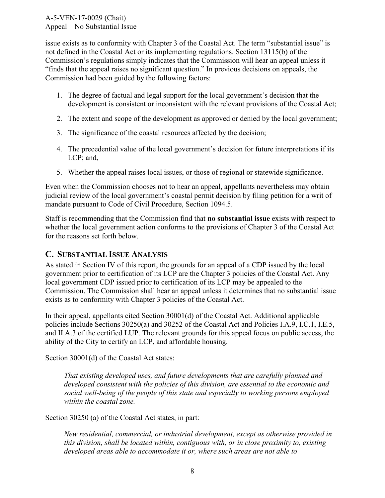<span id="page-7-0"></span>issue exists as to conformity with Chapter 3 of the Coastal Act. The term "substantial issue" is not defined in the Coastal Act or its implementing regulations. Section 13115(b) of the Commission's regulations simply indicates that the Commission will hear an appeal unless it "finds that the appeal raises no significant question." In previous decisions on appeals, the Commission had been guided by the following factors:

- 1. The degree of factual and legal support for the local government's decision that the development is consistent or inconsistent with the relevant provisions of the Coastal Act;
- 2. The extent and scope of the development as approved or denied by the local government;
- 3. The significance of the coastal resources affected by the decision;
- 4. The precedential value of the local government's decision for future interpretations if its LCP; and,
- 5. Whether the appeal raises local issues, or those of regional or statewide significance.

Even when the Commission chooses not to hear an appeal, appellants nevertheless may obtain judicial review of the local government's coastal permit decision by filing petition for a writ of mandate pursuant to Code of Civil Procedure, Section 1094.5.

Staff is recommending that the Commission find that **no substantial issue** exists with respect to whether the local government action conforms to the provisions of Chapter 3 of the Coastal Act for the reasons set forth below.

### **C. SUBSTANTIAL ISSUE ANALYSIS**

As stated in Section IV of this report, the grounds for an appeal of a CDP issued by the local government prior to certification of its LCP are the Chapter 3 policies of the Coastal Act. Any local government CDP issued prior to certification of its LCP may be appealed to the Commission. The Commission shall hear an appeal unless it determines that no substantial issue exists as to conformity with Chapter 3 policies of the Coastal Act.

In their appeal, appellants cited Section 30001(d) of the Coastal Act. Additional applicable policies include Sections 30250(a) and 30252 of the Coastal Act and Policies I.A.9, I.C.1, I.E.5, and II.A.3 of the certified LUP. The relevant grounds for this appeal focus on public access, the ability of the City to certify an LCP, and affordable housing.

Section 30001(d) of the Coastal Act states:

*That existing developed uses, and future developments that are carefully planned and developed consistent with the policies of this division, are essential to the economic and social well-being of the people of this state and especially to working persons employed within the coastal zone.* 

Section 30250 (a) of the Coastal Act states, in part:

*New residential, commercial, or industrial development, except as otherwise provided in this division, shall be located within, contiguous with, or in close proximity to, existing developed areas able to accommodate it or, where such areas are not able to*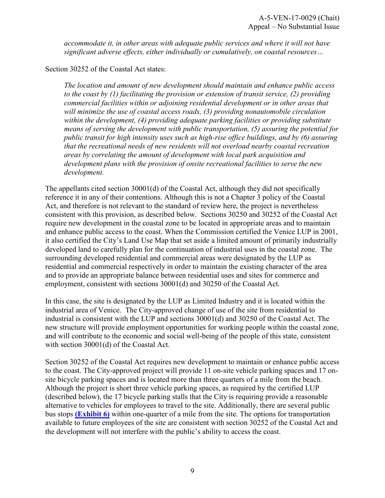*accommodate it, in other areas with adequate public services and where it will not have significant adverse effects, either individually or cumulatively, on coastal resources…*

Section 30252 of the Coastal Act states:

*The location and amount of new development should maintain and enhance public access to the coast by (1) facilitating the provision or extension of transit service, (2) providing commercial facilities within or adjoining residential development or in other areas that will minimize the use of coastal access roads, (3) providing nonautomobile circulation within the development, (4) providing adequate parking facilities or providing substitute means of serving the development with public transportation, (5) assuring the potential for public transit for high intensity uses such as high-rise office buildings, and by (6) assuring that the recreational needs of new residents will not overload nearby coastal recreation areas by correlating the amount of development with local park acquisition and development plans with the provision of onsite recreational facilities to serve the new development.* 

The appellants cited section 30001(d) of the Coastal Act, although they did not specifically reference it in any of their contentions. Although this is not a Chapter 3 policy of the Coastal Act, and therefore is not relevant to the standard of review here, the project is nevertheless consistent with this provision, as described below. Sections 30250 and 30252 of the Coastal Act require new development in the coastal zone to be located in appropriate areas and to maintain and enhance public access to the coast. When the Commission certified the Venice LUP in 2001, it also certified the City's Land Use Map that set aside a limited amount of primarily industrially developed land to carefully plan for the continuation of industrial uses in the coastal zone. The surrounding developed residential and commercial areas were designated by the LUP as residential and commercial respectively in order to maintain the existing character of the area and to provide an appropriate balance between residential uses and sites for commerce and employment, consistent with sections 30001(d) and 30250 of the Coastal Act.

In this case, the site is designated by the LUP as Limited Industry and it is located within the industrial area of Venice. The City-approved change of use of the site from residential to industrial is consistent with the LUP and sections 30001(d) and 30250 of the Coastal Act. The new structure will provide employment opportunities for working people within the coastal zone, and will contribute to the economic and social well-being of the people of this state, consistent with section 30001(d) of the Coastal Act.

Section 30252 of the Coastal Act requires new development to maintain or enhance public access to the coast. The City-approved project will provide 11 on-site vehicle parking spaces and 17 onsite bicycle parking spaces and is located more than three quarters of a mile from the beach. Although the project is short three vehicle parking spaces, as required by the certified LUP (described below), the 17 bicycle parking stalls that the City is requiring provide a reasonable alternative to vehicles for employees to travel to the site. Additionally, there are several public bus stops **[\(Exhibit 6\)](https://documents.coastal.ca.gov/reports/2017/7/W13g/W13g-7-2017-report.pdf)** within one-quarter of a mile from the site. The options for transportation available to future employees of the site are consistent with section 30252 of the Coastal Act and the development will not interfere with the public's ability to access the coast.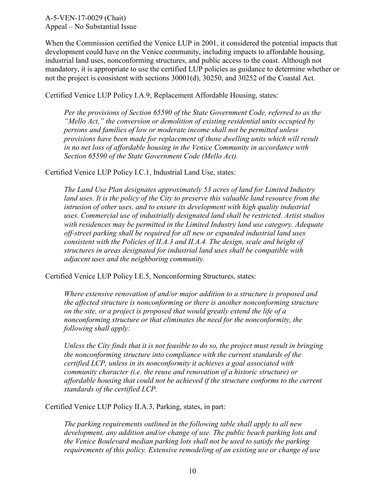When the Commission certified the Venice LUP in 2001, it considered the potential impacts that development could have on the Venice community, including impacts to affordable housing, industrial land uses, nonconforming structures, and public access to the coast. Although not mandatory, it is appropriate to use the certified LUP policies as guidance to determine whether or not the project is consistent with sections 30001(d), 30250, and 30252 of the Coastal Act.

Certified Venice LUP Policy I.A.9, Replacement Affordable Housing, states:

*Per the provisions of Section 65590 of the State Government Code, referred to as the "Mello Act," the conversion or demolition of existing residential units occupied by persons and families of low or moderate income shall not be permitted unless provisions have been made for replacement of those dwelling units which will result in no net loss of affordable housing in the Venice Community in accordance with Section 65590 of the State Government Code (Mello Act).* 

Certified Venice LUP Policy I.C.1, Industrial Land Use, states:

*The Land Use Plan designates approximately 53 acres of land for Limited Industry*  land uses. It is the policy of the City to preserve this valuable land resource from the *intrusion of other uses, and to ensure its development with high quality industrial uses. Commercial use of industrially designated land shall be restricted. Artist studios with residences may be permitted in the Limited Industry land use category. Adequate off-street parking shall be required for all new or expanded industrial land uses consistent with the Policies of II.A.3 and II.A.4. The design, scale and height of structures in areas designated for industrial land uses shall be compatible with adjacent uses and the neighboring community.* 

Certified Venice LUP Policy I.E.5, Nonconforming Structures, states:

*Where extensive renovation of and/or major addition to a structure is proposed and the affected structure is nonconforming or there is another nonconforming structure on the site, or a project is proposed that would greatly extend the life of a nonconforming structure or that eliminates the need for the nonconformity, the following shall apply:* 

*Unless the City finds that it is not feasible to do so, the project must result in bringing the nonconforming structure into compliance with the current standards of the certified LCP, unless in its nonconformity it achieves a goal associated with community character (i.e. the reuse and renovation of a historic structure) or affordable housing that could not be achieved if the structure conforms to the current standards of the certified LCP.* 

Certified Venice LUP Policy II.A.3, Parking, states, in part:

*The parking requirements outlined in the following table shall apply to all new development, any addition and/or change of use. The public beach parking lots and the Venice Boulevard median parking lots shall not be used to satisfy the parking requirements of this policy. Extensive remodeling of an existing use or change of use*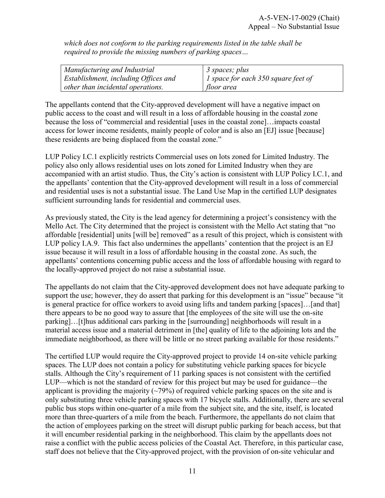*which does not conform to the parking requirements listed in the table shall be required to provide the missing numbers of parking spaces…* 

| Manufacturing and Industrial         | 3 spaces; plus                      |
|--------------------------------------|-------------------------------------|
| Establishment, including Offices and | 1 space for each 350 square feet of |
| other than incidental operations.    | floor area                          |

The appellants contend that the City-approved development will have a negative impact on public access to the coast and will result in a loss of affordable housing in the coastal zone because the loss of "commercial and residential [uses in the coastal zone]…impacts coastal access for lower income residents, mainly people of color and is also an [EJ] issue [because] these residents are being displaced from the coastal zone."

LUP Policy I.C.1 explicitly restricts Commercial uses on lots zoned for Limited Industry. The policy also only allows residential uses on lots zoned for Limited Industry when they are accompanied with an artist studio. Thus, the City's action is consistent with LUP Policy I.C.1, and the appellants' contention that the City-approved development will result in a loss of commercial and residential uses is not a substantial issue. The Land Use Map in the certified LUP designates sufficient surrounding lands for residential and commercial uses.

As previously stated, the City is the lead agency for determining a project's consistency with the Mello Act. The City determined that the project is consistent with the Mello Act stating that "no affordable [residential] units [will be] removed" as a result of this project, which is consistent with LUP policy I.A.9. This fact also undermines the appellants' contention that the project is an EJ issue because it will result in a loss of affordable housing in the coastal zone. As such, the appellants' contentions concerning public access and the loss of affordable housing with regard to the locally-approved project do not raise a substantial issue.

The appellants do not claim that the City-approved development does not have adequate parking to support the use; however, they do assert that parking for this development is an "issue" because "it is general practice for office workers to avoid using lifts and tandem parking [spaces]...[and that] there appears to be no good way to assure that [the employees of the site will use the on-site parking]…[t]hus additional cars parking in the [surrounding] neighborhoods will result in a material access issue and a material detriment in [the] quality of life to the adjoining lots and the immediate neighborhood, as there will be little or no street parking available for those residents."

The certified LUP would require the City-approved project to provide 14 on-site vehicle parking spaces. The LUP does not contain a policy for substituting vehicle parking spaces for bicycle stalls. Although the City's requirement of 11 parking spaces is not consistent with the certified LUP—which is not the standard of review for this project but may be used for guidance—the applicant is providing the majority  $(\sim 79\%)$  of required vehicle parking spaces on the site and is only substituting three vehicle parking spaces with 17 bicycle stalls. Additionally, there are several public bus stops within one-quarter of a mile from the subject site, and the site, itself, is located more than three-quarters of a mile from the beach. Furthermore, the appellants do not claim that the action of employees parking on the street will disrupt public parking for beach access, but that it will encumber residential parking in the neighborhood. This claim by the appellants does not raise a conflict with the public access policies of the Coastal Act. Therefore, in this particular case, staff does not believe that the City-approved project, with the provision of on-site vehicular and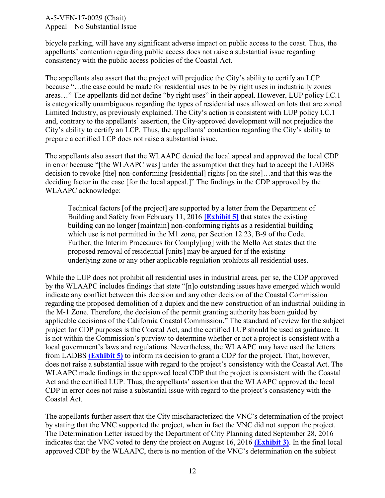bicycle parking, will have any significant adverse impact on public access to the coast. Thus, the appellants' contention regarding public access does not raise a substantial issue regarding consistency with the public access policies of the Coastal Act.

The appellants also assert that the project will prejudice the City's ability to certify an LCP because "…the case could be made for residential uses to be by right uses in industrially zones areas…" The appellants did not define "by right uses" in their appeal. However, LUP policy I.C.1 is categorically unambiguous regarding the types of residential uses allowed on lots that are zoned Limited Industry, as previously explained. The City's action is consistent with LUP policy I.C.1 and, contrary to the appellants' assertion, the City-approved development will not prejudice the City's ability to certify an LCP. Thus, the appellants' contention regarding the City's ability to prepare a certified LCP does not raise a substantial issue.

The appellants also assert that the WLAAPC denied the local appeal and approved the local CDP in error because "[the WLAAPC was] under the assumption that they had to accept the LADBS decision to revoke [the] non-conforming [residential] rights [on the site]…and that this was the deciding factor in the case [for the local appeal.]" The findings in the CDP approved by the WLAAPC acknowledge:

Technical factors [of the project] are supported by a letter from the Department of Building and Safety from February 11, 2016 **[\[Exhibit 5\]](https://documents.coastal.ca.gov/reports/2017/7/W13g/W13g-7-2017-report.pdf)** that states the existing building can no longer [maintain] non-conforming rights as a residential building which use is not permitted in the M1 zone, per Section 12.23, B-9 of the Code. Further, the Interim Procedures for Comply[ing] with the Mello Act states that the proposed removal of residential [units] may be argued for if the existing underlying zone or any other applicable regulation prohibits all residential uses.

While the LUP does not prohibit all residential uses in industrial areas, per se, the CDP approved by the WLAAPC includes findings that state "[n]o outstanding issues have emerged which would indicate any conflict between this decision and any other decision of the Coastal Commission regarding the proposed demolition of a duplex and the new construction of an industrial building in the M-1 Zone. Therefore, the decision of the permit granting authority has been guided by applicable decisions of the California Coastal Commission." The standard of review for the subject project for CDP purposes is the Coastal Act, and the certified LUP should be used as guidance. It is not within the Commission's purview to determine whether or not a project is consistent with a local government's laws and regulations. Nevertheless, the WLAAPC may have used the letters from LADBS **[\(Exhibit 5\)](https://documents.coastal.ca.gov/reports/2017/7/W13g/W13g-7-2017-report.pdf)** to inform its decision to grant a CDP for the project. That, however, does not raise a substantial issue with regard to the project's consistency with the Coastal Act. The WLAAPC made findings in the approved local CDP that the project is consistent with the Coastal Act and the certified LUP. Thus, the appellants' assertion that the WLAAPC approved the local CDP in error does not raise a substantial issue with regard to the project's consistency with the Coastal Act.

The appellants further assert that the City mischaracterized the VNC's determination of the project by stating that the VNC supported the project, when in fact the VNC did not support the project. The Determination Letter issued by the Department of City Planning dated September 28, 2016 indicates that the VNC voted to deny the project on August 16, 2016 **[\(Exhibit 3\)](https://documents.coastal.ca.gov/reports/2017/7/W13g/W13g-7-2017-report.pdf)**. In the final local approved CDP by the WLAAPC, there is no mention of the VNC's determination on the subject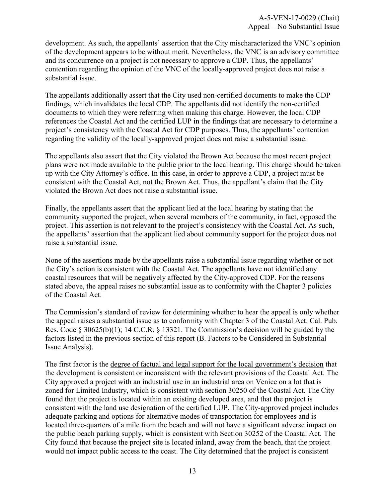development. As such, the appellants' assertion that the City mischaracterized the VNC's opinion of the development appears to be without merit. Nevertheless, the VNC is an advisory committee and its concurrence on a project is not necessary to approve a CDP. Thus, the appellants' contention regarding the opinion of the VNC of the locally-approved project does not raise a substantial issue.

The appellants additionally assert that the City used non-certified documents to make the CDP findings, which invalidates the local CDP. The appellants did not identify the non-certified documents to which they were referring when making this charge. However, the local CDP references the Coastal Act and the certified LUP in the findings that are necessary to determine a project's consistency with the Coastal Act for CDP purposes. Thus, the appellants' contention regarding the validity of the locally-approved project does not raise a substantial issue.

The appellants also assert that the City violated the Brown Act because the most recent project plans were not made available to the public prior to the local hearing. This charge should be taken up with the City Attorney's office. In this case, in order to approve a CDP, a project must be consistent with the Coastal Act, not the Brown Act. Thus, the appellant's claim that the City violated the Brown Act does not raise a substantial issue.

Finally, the appellants assert that the applicant lied at the local hearing by stating that the community supported the project, when several members of the community, in fact, opposed the project. This assertion is not relevant to the project's consistency with the Coastal Act. As such, the appellants' assertion that the applicant lied about community support for the project does not raise a substantial issue.

None of the assertions made by the appellants raise a substantial issue regarding whether or not the City's action is consistent with the Coastal Act. The appellants have not identified any coastal resources that will be negatively affected by the City-approved CDP. For the reasons stated above, the appeal raises no substantial issue as to conformity with the Chapter 3 policies of the Coastal Act.

The Commission's standard of review for determining whether to hear the appeal is only whether the appeal raises a substantial issue as to conformity with Chapter 3 of the Coastal Act. Cal. Pub. Res. Code § 30625(b)(1); 14 C.C.R. § 13321. The Commission's decision will be guided by the factors listed in the previous section of this report (B. Factors to be Considered in Substantial Issue Analysis).

The first factor is the degree of factual and legal support for the local government's decision that the development is consistent or inconsistent with the relevant provisions of the Coastal Act. The City approved a project with an industrial use in an industrial area on Venice on a lot that is zoned for Limited Industry, which is consistent with section 30250 of the Coastal Act. The City found that the project is located within an existing developed area, and that the project is consistent with the land use designation of the certified LUP. The City-approved project includes adequate parking and options for alternative modes of transportation for employees and is located three-quarters of a mile from the beach and will not have a significant adverse impact on the public beach parking supply, which is consistent with Section 30252 of the Coastal Act. The City found that because the project site is located inland, away from the beach, that the project would not impact public access to the coast. The City determined that the project is consistent